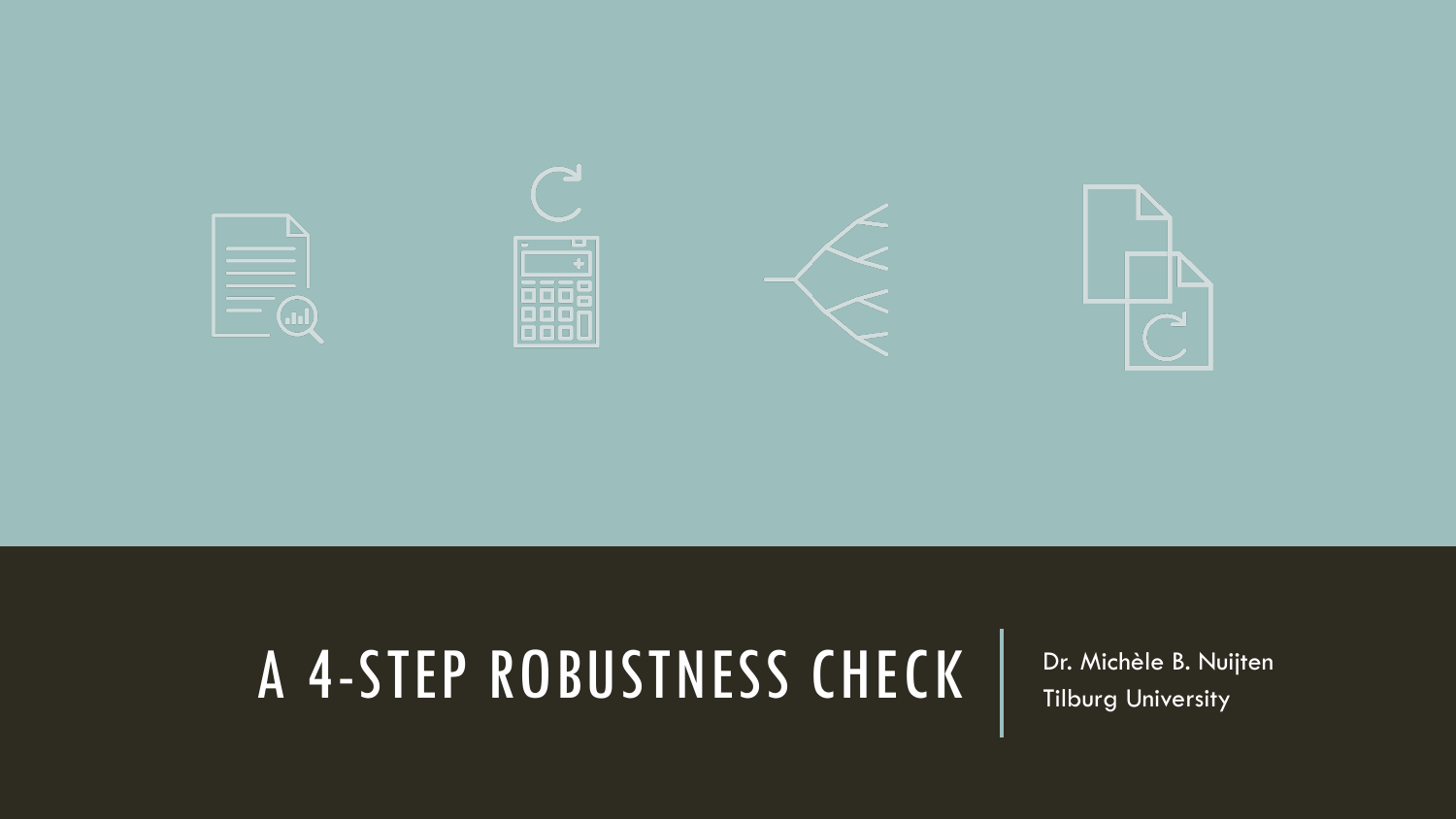

### A 4-STEP ROBUSTNESS CHECK | Dr. Michèle B. Nuijten

Tilburg University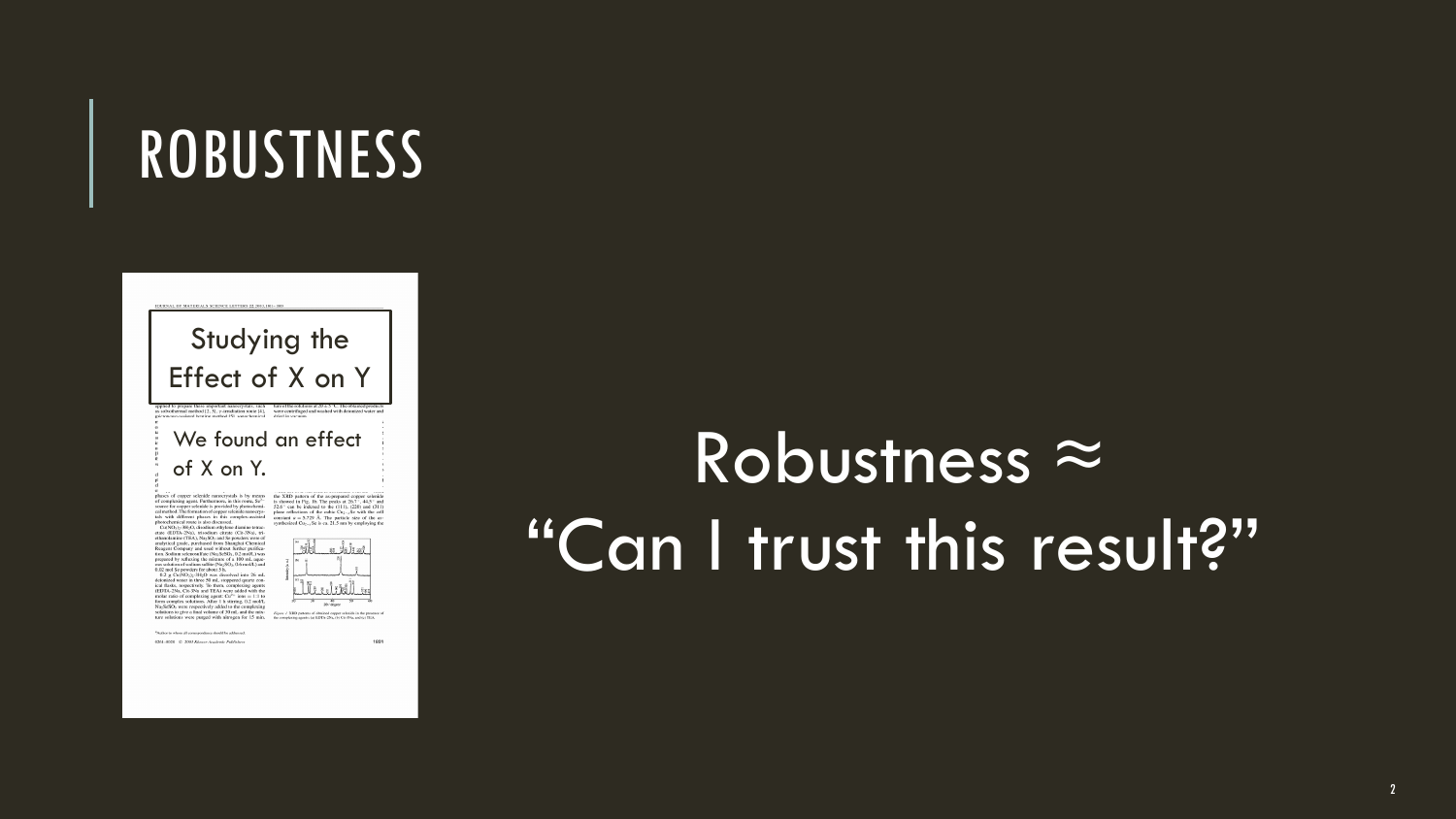### **ROBUSTNESS**



1801

### Robustness ≈ "Can I trust this result?"

 $^{\rm o}$  Soulsee to whom all correspondence should be addenised

 $-0264 - 0328 - 0 - 2007$  Klaver-Academic Publishers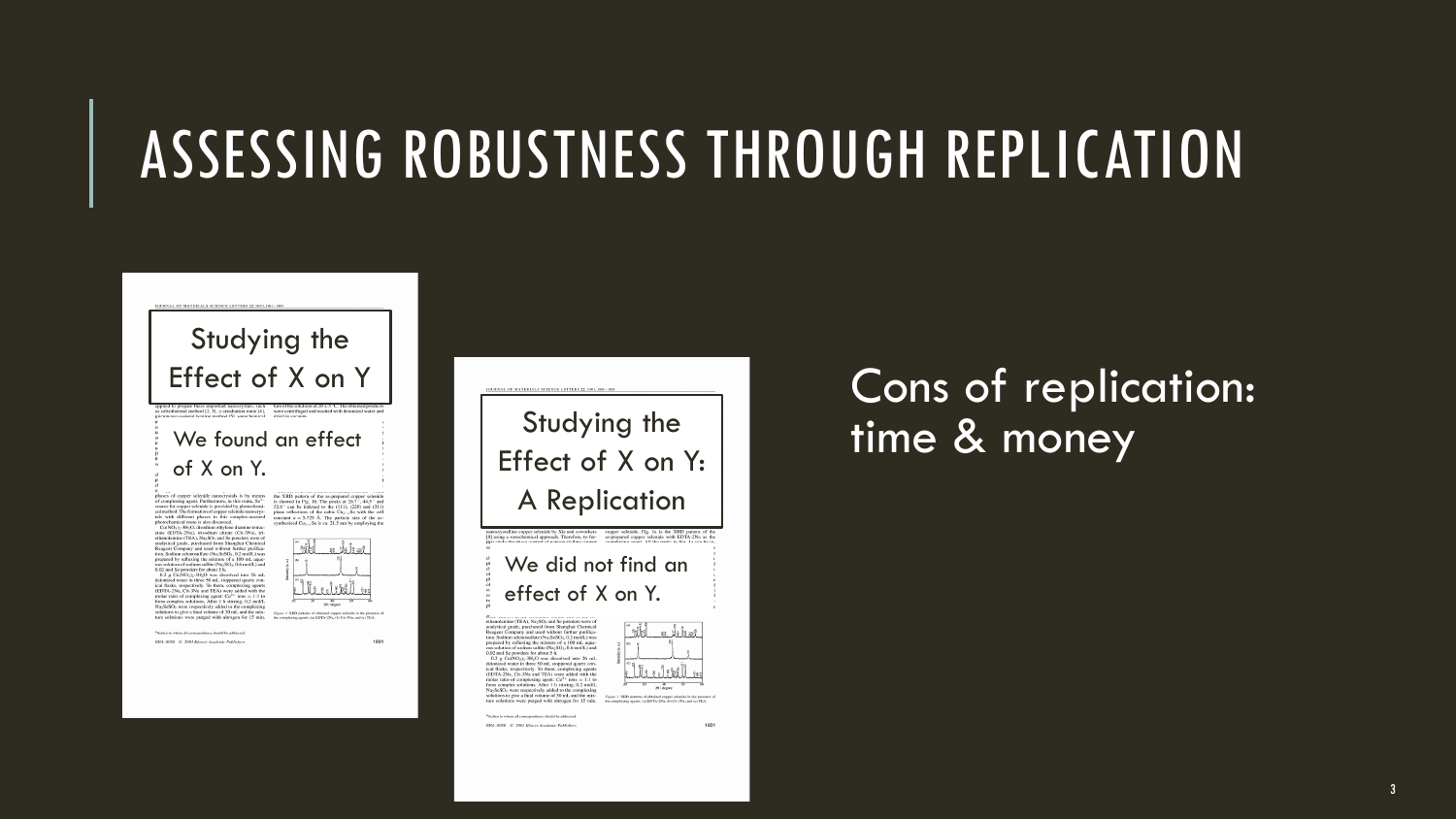### ASSESSING ROBUSTNESS THROUGH REPLICATION



Studying the Effect of X on Y

photochemical route is also discussed.<br>Co(NO3): 3H2O, disodium ethylene diamine tetrao

etate (EDTA-2Na), trisodium citrate (Cit-3Na), tri-<br>ethanolamine (TEA), Na<sub>2</sub>SO<sub>3</sub> and Se powders were of otheresis<br>metrics (TEA), NegoYa and Se provides were of the model and standard metrics<br>( $\mu$  and the model of the model of the model and standard metrics<br>( $\mu$ ), and standard metric metrics ( $\mu$ ),<br>and the model of the mo Nu<sub>2</sub>SeSO<sub>3</sub> were respectively added to the complexing<br>solutions to give a final volume of 30 mL and the mix-<br>solutions to give a final volume of 30 mL and the mix-<br>ture solutions were purged with nitrogen for 1.5 min. to



1801

 $-0264 - 0328 - 0 - 2007$  Klaver-Academic Publishers



#### Cons of replication: time & money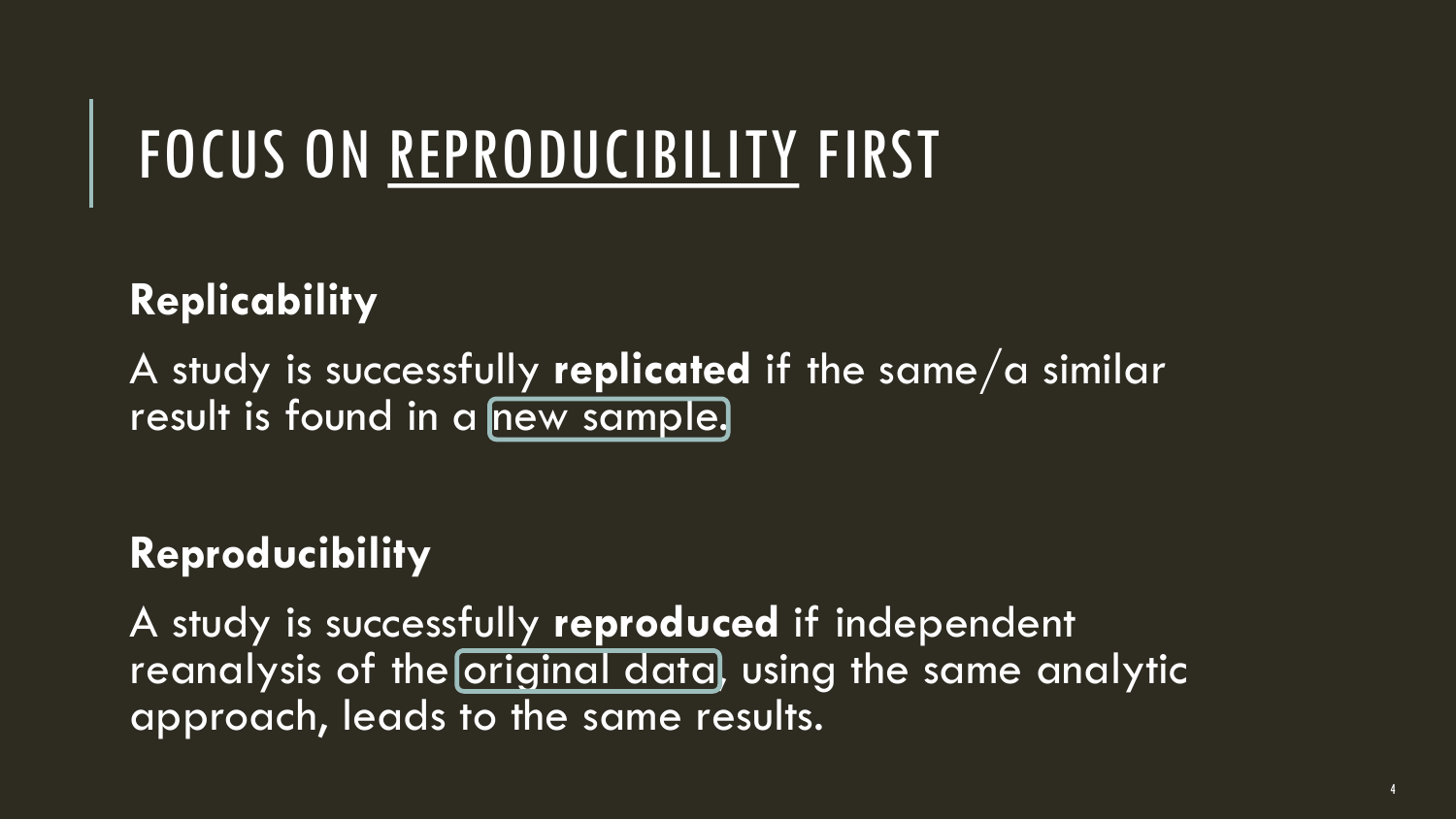### FOCUS ON REPRODUCIBILITY FIRST

### **Replicability**

A study is successfully **replicated** if the same/a similar result is found in a new sample.

#### **Reproducibility**

A study is successfully **reproduced** if independent reanalysis of the original data, using the same analytic approach, leads to the same results.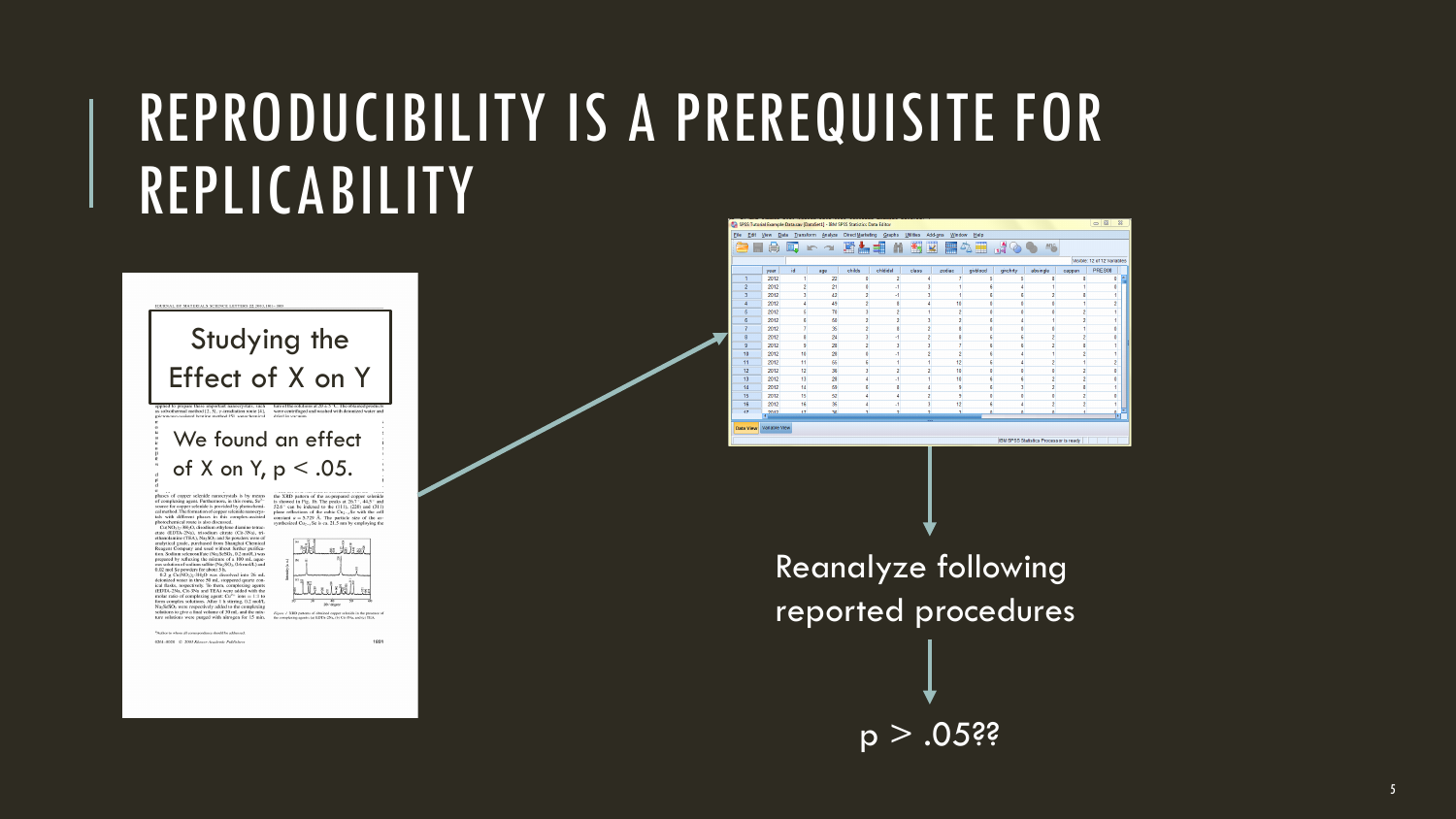### REPRODUCIBILITY IS A PREREQUISITE FOR REPLICABILITY



etate (EDTA-2Na), trisodium citrate (Cit-3Na), tri-<br>ethanolamine (TEA), Na<sub>2</sub>SO<sub>3</sub> and Se powders were of

ethanolarisme (TEA), Nego<br>Syo and Se poeders over of the system of the main standard manipularism (TeA), procedured from Shanghai Chematical and<br>and Solidary substantial (NegoSMO), Co 2 metal.) variates and Solidary<br>distr Va<sub>2</sub>SeSO<sub>2</sub> were respectively added to the complexing<br>obations to give a final volume of 30 ml, and the mixsolutions to give a final volume of 30 mL and the mix- $r_{\text{tper}}$  of the solutions were purged with nitrogen for 15 min.  $r_{\text{tper}}$  or



1801

RD patterns of obtained copper selenide in the prese<br>sing agents: (a) EDTA-2Na, (b) Cit-3Na, and (c) TEA

visors all correspondence should be addressed 0261-8028 C 2007 Kinner Academic Publishers



Reanalyze following reported procedures

 $p > .05$ ??

5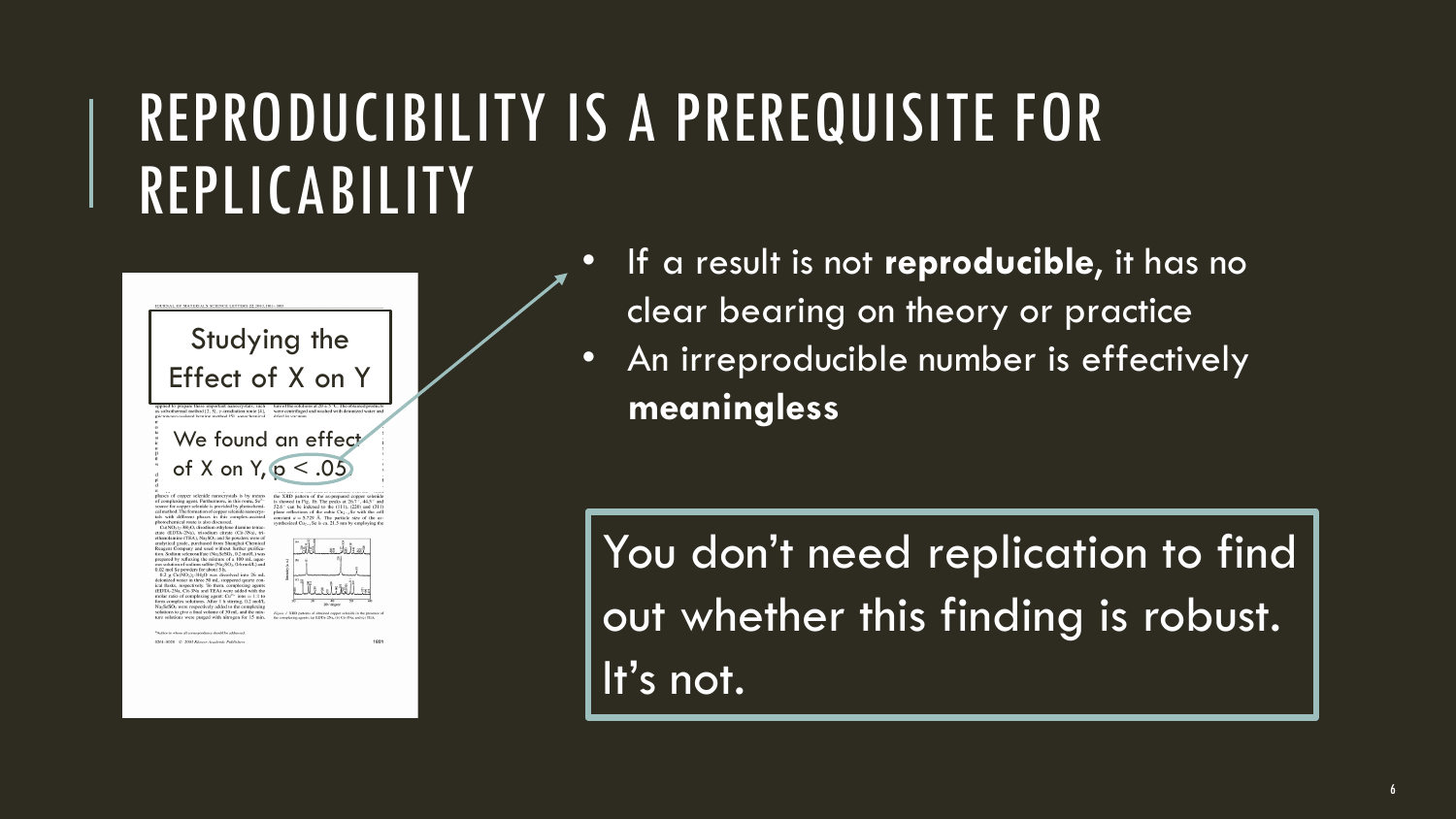### REPRODUCIBILITY IS A PREREQUISITE FOR REPLICABILITY



- If a result is not **reproducible**, it has no clear bearing on theory or practice
- An irreproducible number is effectively **meaningless**

You don't need replication to find out whether this finding is robust.  $l$  it's not.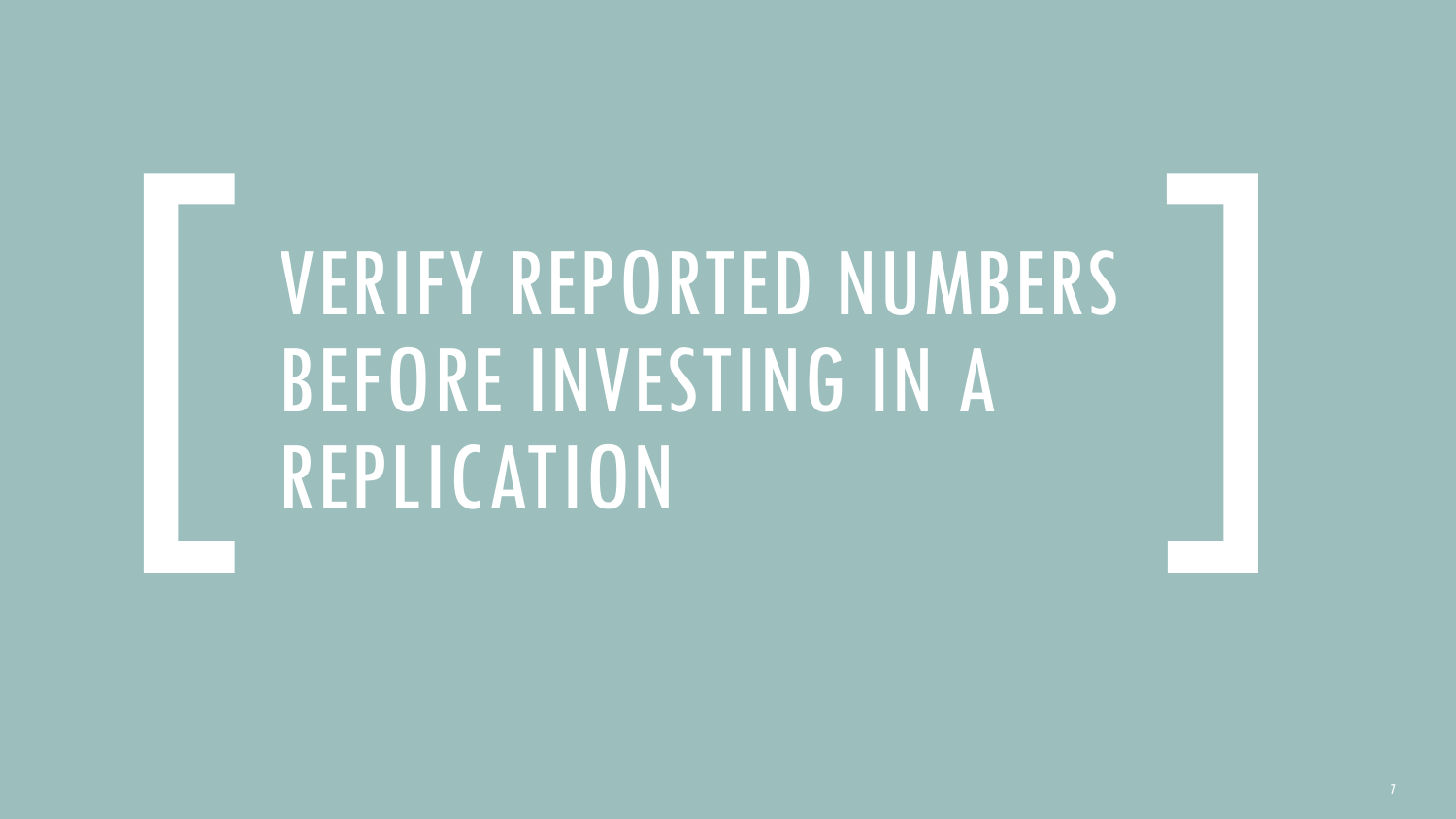### VERIFY REPORTED NUMBERS BEFORE INVESTING IN A REPLICATION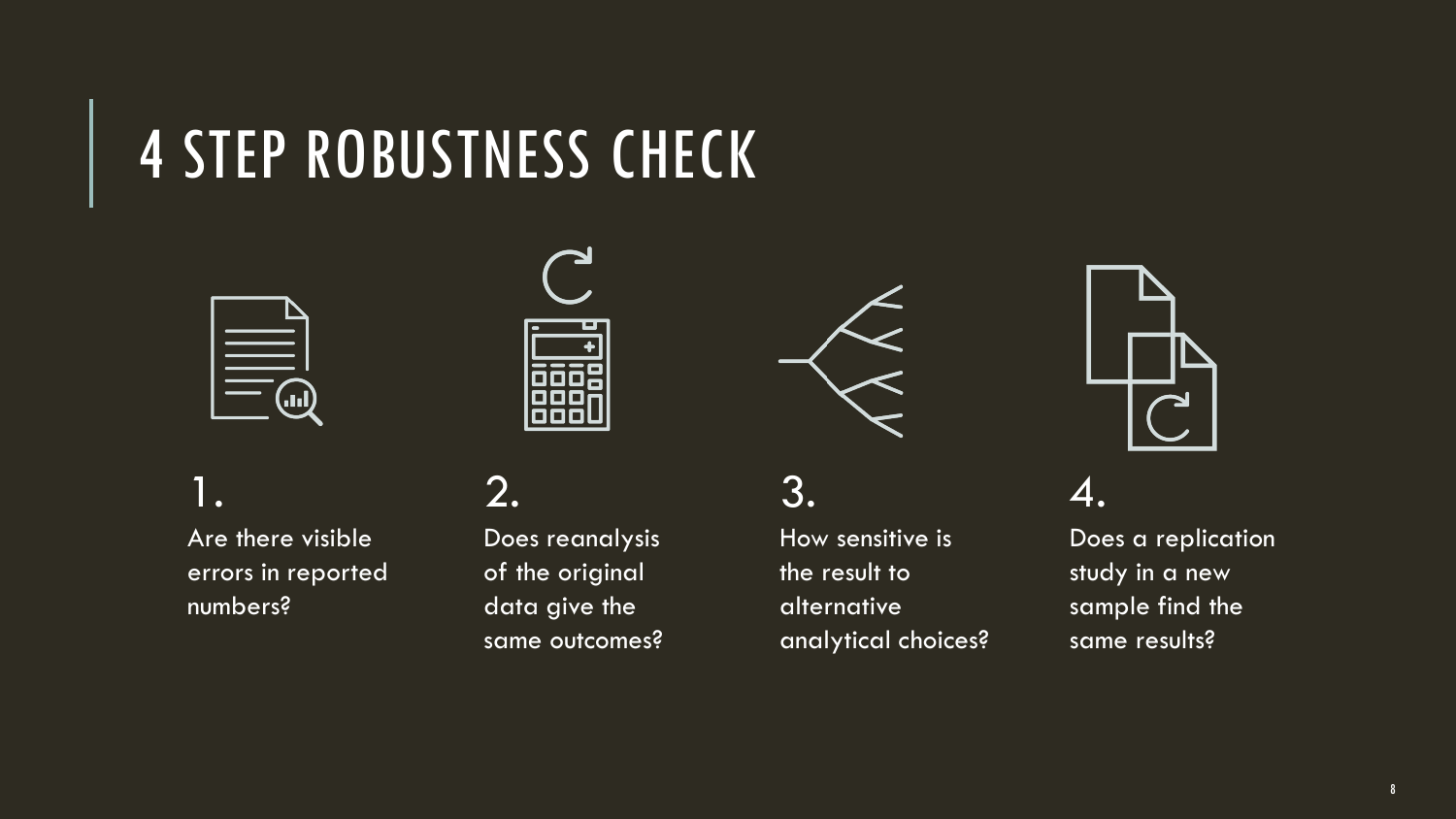### 4 STEP ROBUSTNESS CHECK





1. Are there visible errors in reported numbers?

#### 2.

Does reanalysis of the original data give the same outcomes?



3.

How sensitive is the result to alternative analytical choices?



4.

Does a replication study in a new sample find the same results?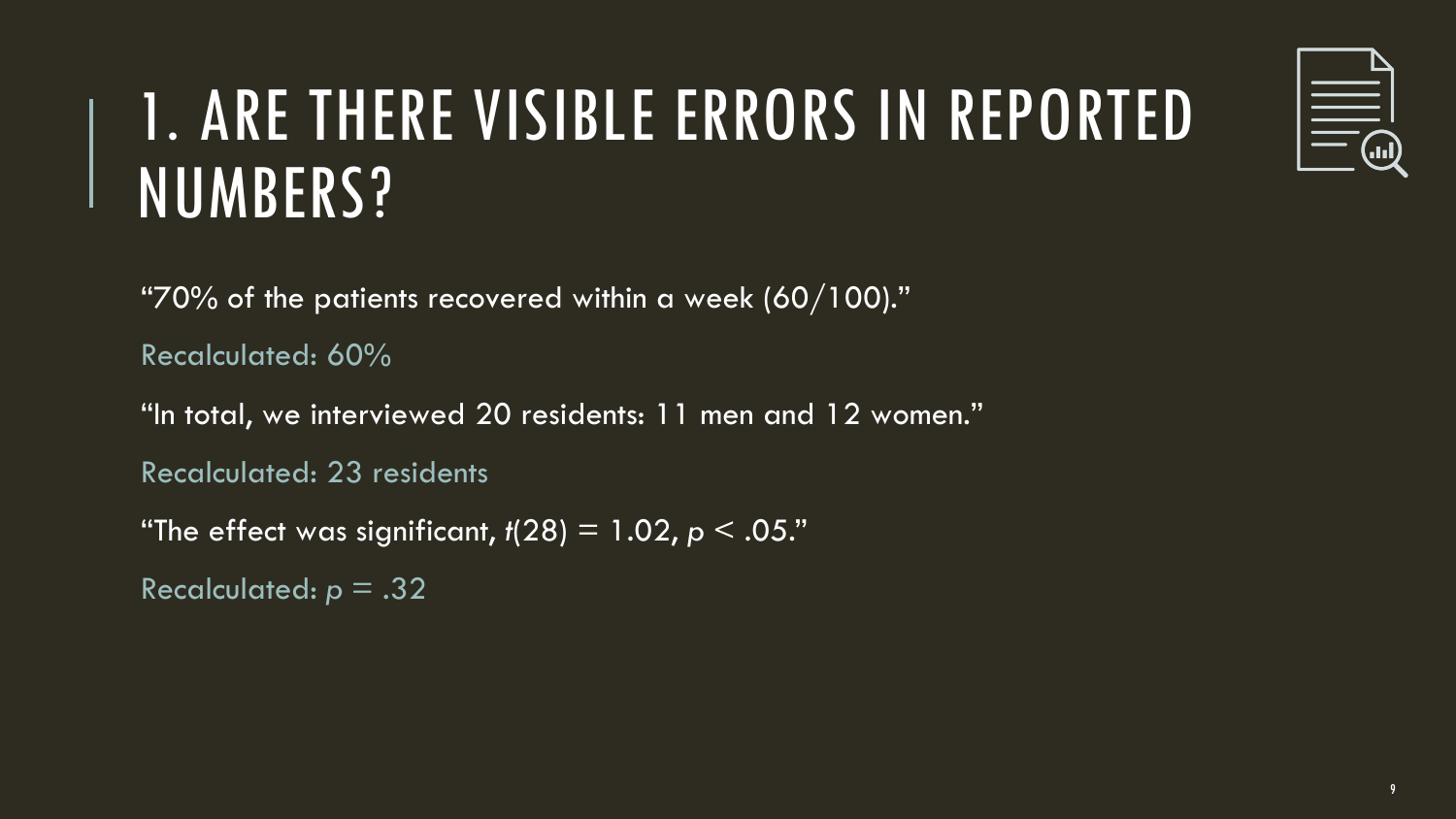# $\begin{tabular}{|c|c|} \hline \quad \quad & \quad \quad & \quad \quad \\ \hline \quad \quad & \quad \quad & \quad \quad \\ \hline \quad \quad & \quad \quad & \quad \quad \\ \hline \quad \quad & \quad \quad & \quad \quad \\ \hline \quad \quad & \quad \quad & \quad \quad \\ \hline \quad \quad & \quad \quad & \quad \quad \\ \hline \end{tabular}$

### 1. ARE THERE VISIBLE ERRORS IN REPORTED NUMBERS?

"70% of the patients recovered within a week  $(60/100)$ ."

Recalculated: 60%

"In total, we interviewed 20 residents: 11 men and 12 women."

Recalculated: 23 residents

"The effect was significant,  $t(28) = 1.02$ ,  $p < .05$ ."

```
Recalculated: p = .32
```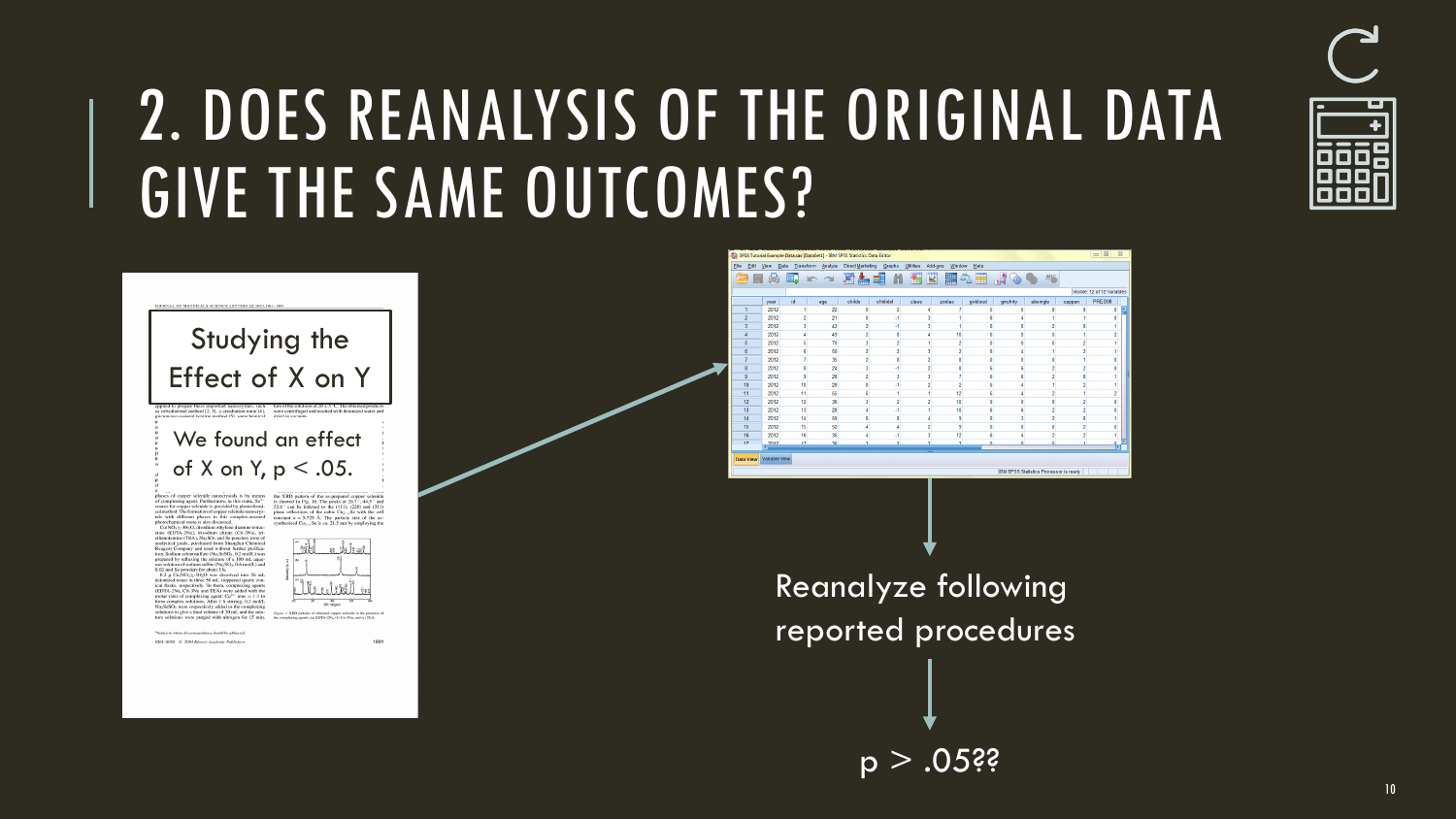

### 2. DOES REANALYSIS OF THE ORIGINAL DATA GIVE THE SAME OUTCOMES?

CORRITo engine Fournable Data say (Data Sat1) - 1933 CORR Statistics Data Folio



Visible: 12 of 12 Variable **DOFS68** 

cannon.

IRM SPRR Realisting Processor is ready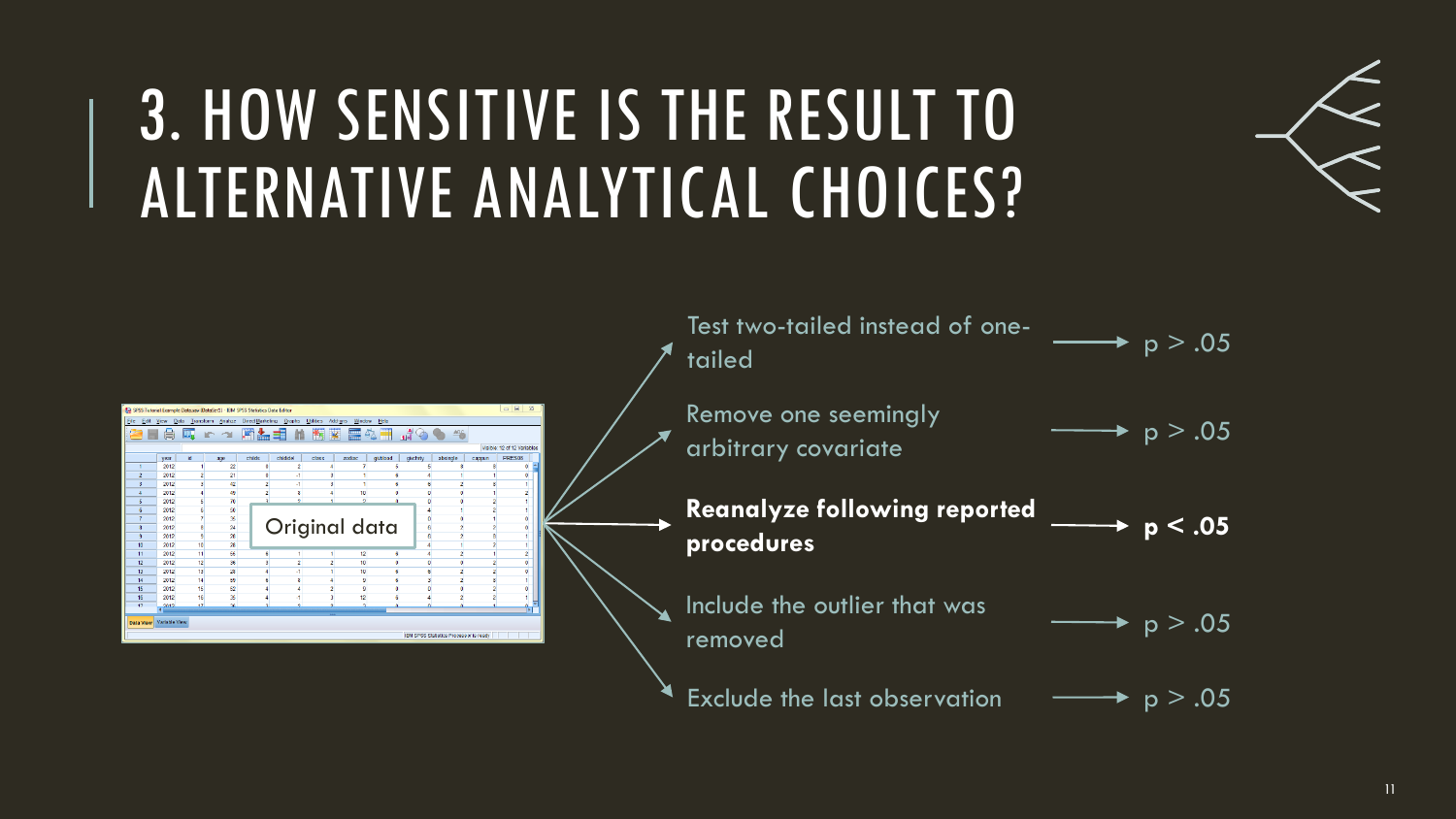### 3. HOW SENSITIVE IS THE RESULT TO ALTERNATIVE ANALYTICAL CHOICES?



| Test two-tailed instead of one-<br>tailed         | $\rightarrow p > .05$ |
|---------------------------------------------------|-----------------------|
| Remove one seemingly<br>arbitrary covariate       | $\star$ p > .05       |
| <b>Reanalyze following reported</b><br>procedures | p < .05               |
| Include the outlier that was<br>removed           | $\rightarrow p > .05$ |
| <b>Exclude the last observation</b>               | p > .05               |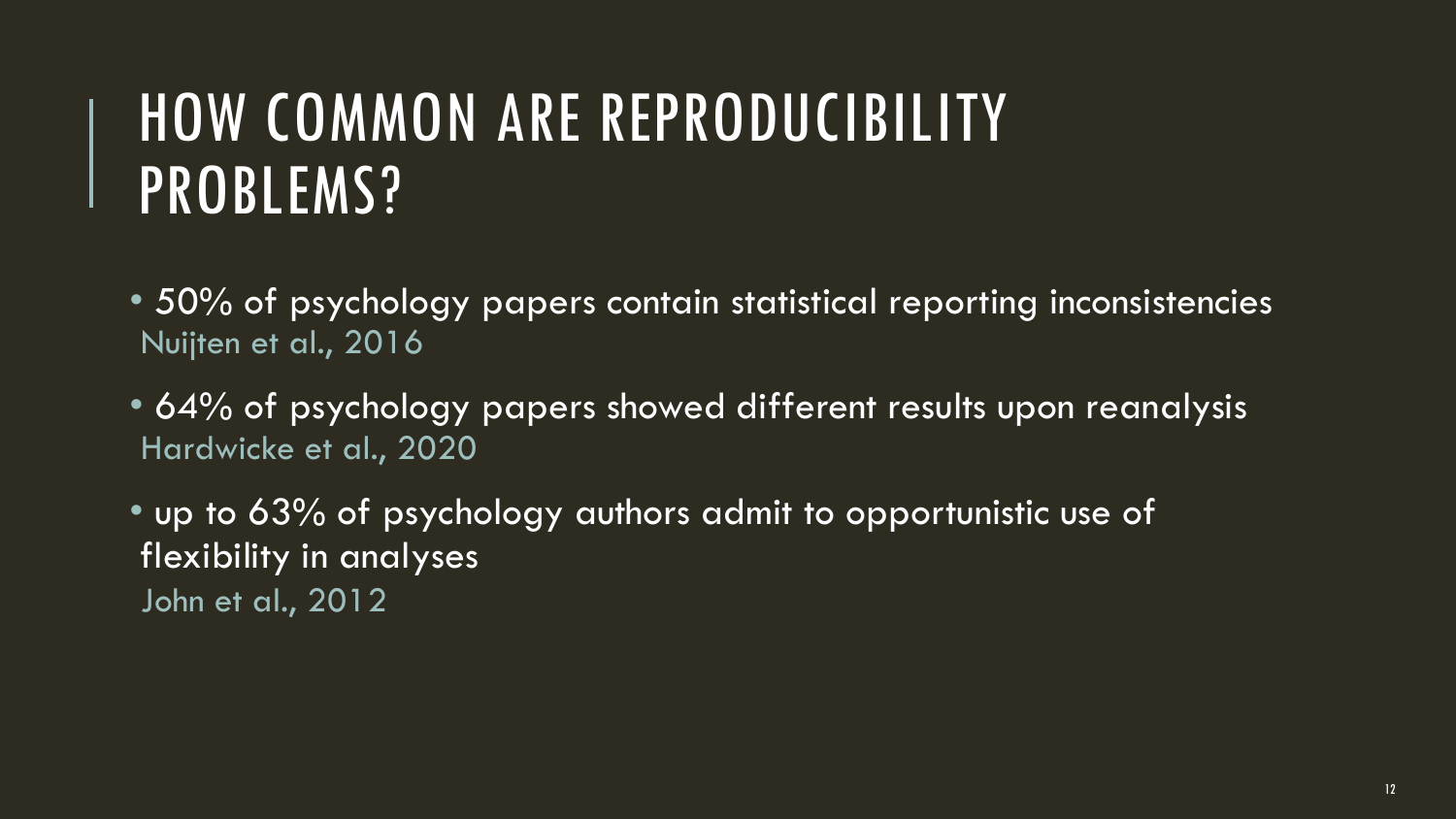### HOW COMMON ARE REPRODUCIBILITY PROBLEMS?

- 50% of psychology papers contain statistical reporting inconsistencies Nuijten et al., 2016
- 64% of psychology papers showed different results upon reanalysis Hardwicke et al., 2020

• up to 63% of psychology authors admit to opportunistic use of flexibility in analyses

John et al., 2012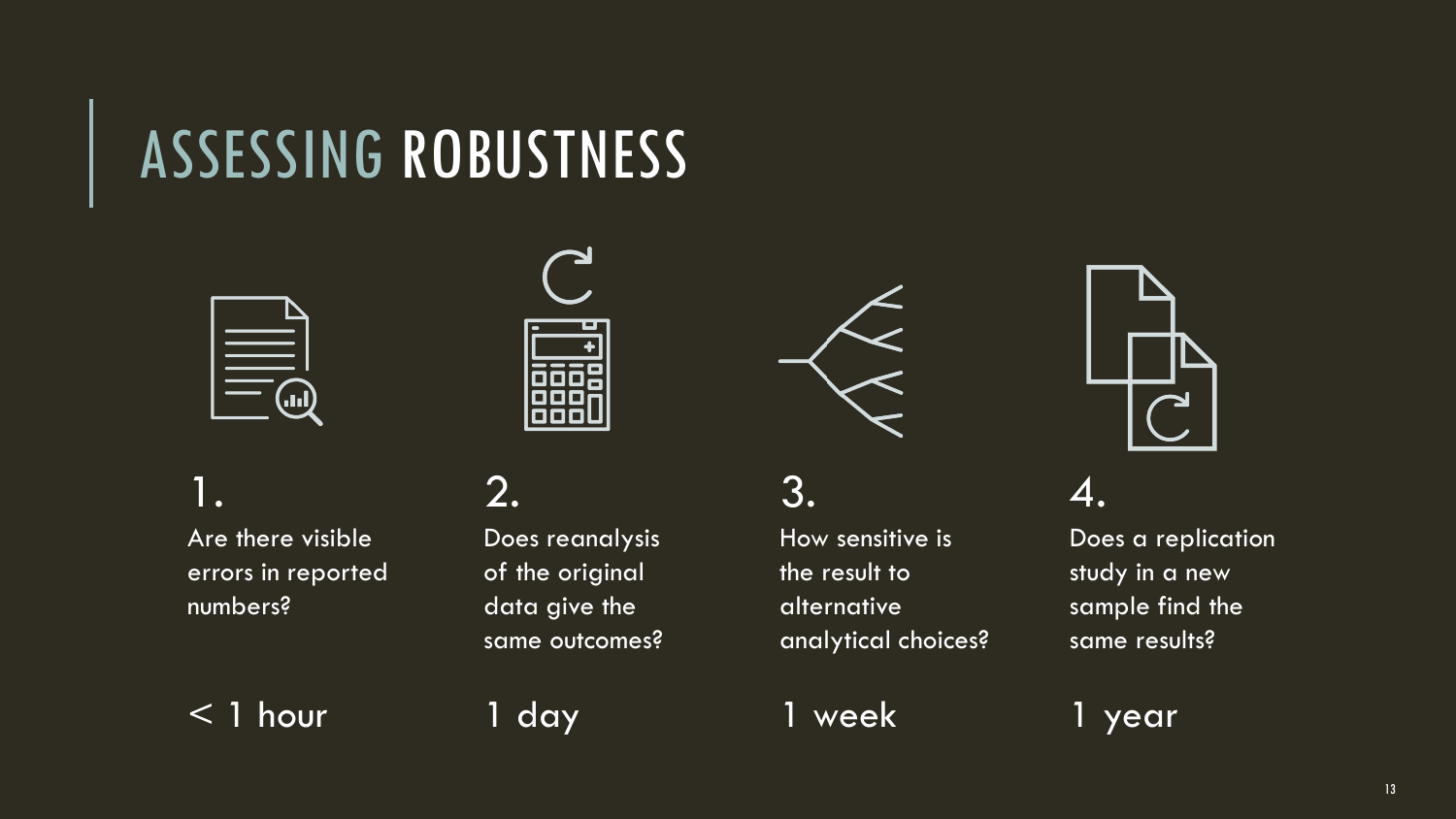### ASSESSING ROBUSTNESS



1. Are there visible errors in reported numbers?

< 1 hour

2. Does reanalysis of the original data give the same outcomes?

1 day

3.

How sensitive is the result to alternative analytical choices?

1 week



4.

Does a replication study in a new sample find the same results?

1 year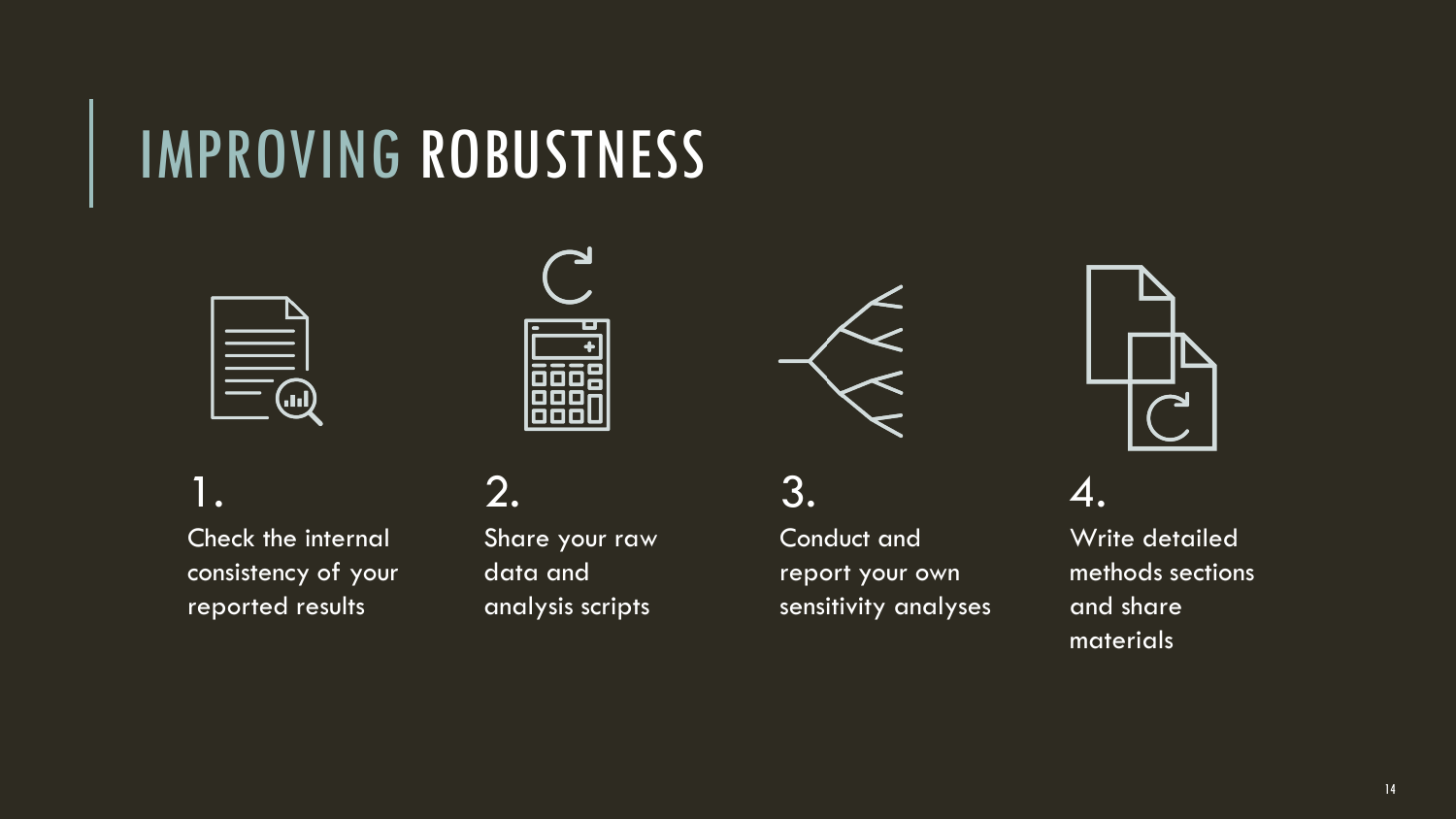### IMPROVING ROBUSTNESS







1. Check the internal consistency of your reported results

2.

Share your raw data and analysis scripts

3. Conduct and report your own sensitivity analyses



4.

Write detailed methods sections and share materials